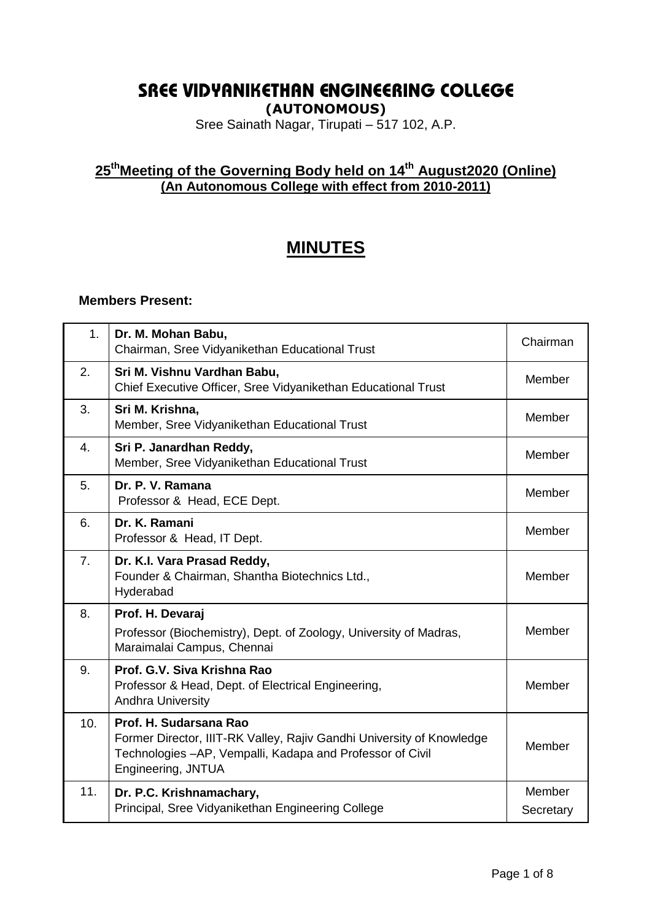## **SREE VIDYANIKETHAN ENGINEERING COLLEGE**

**(AUTONOMOUS)**

Sree Sainath Nagar, Tirupati – 517 102, A.P.

## **25 thMeeting of the Governing Body held on 14th August2020 (Online) (An Autonomous College with effect from 2010-2011)**

# **MINUTES**

#### **Members Present:**

| 1 <sub>1</sub> | Dr. M. Mohan Babu,<br>Chairman, Sree Vidyanikethan Educational Trust                                                                                                                | Chairman            |
|----------------|-------------------------------------------------------------------------------------------------------------------------------------------------------------------------------------|---------------------|
| 2.             | Sri M. Vishnu Vardhan Babu,<br>Chief Executive Officer, Sree Vidyanikethan Educational Trust                                                                                        | Member              |
| 3.             | Sri M. Krishna,<br>Member, Sree Vidyanikethan Educational Trust                                                                                                                     | Member              |
| 4.             | Sri P. Janardhan Reddy,<br>Member, Sree Vidyanikethan Educational Trust                                                                                                             | Member              |
| 5.             | Dr. P. V. Ramana<br>Professor & Head, ECE Dept.                                                                                                                                     | Member              |
| 6.             | Dr. K. Ramani<br>Professor & Head, IT Dept.                                                                                                                                         | Member              |
| 7.             | Dr. K.I. Vara Prasad Reddy,<br>Founder & Chairman, Shantha Biotechnics Ltd.,<br>Hyderabad                                                                                           | Member              |
| 8.             | Prof. H. Devaraj<br>Professor (Biochemistry), Dept. of Zoology, University of Madras,<br>Maraimalai Campus, Chennai                                                                 | Member              |
| 9.             | Prof. G.V. Siva Krishna Rao<br>Professor & Head, Dept. of Electrical Engineering,<br><b>Andhra University</b>                                                                       | Member              |
| 10.            | Prof. H. Sudarsana Rao<br>Former Director, IIIT-RK Valley, Rajiv Gandhi University of Knowledge<br>Technologies - AP, Vempalli, Kadapa and Professor of Civil<br>Engineering, JNTUA | Member              |
| 11.            | Dr. P.C. Krishnamachary,<br>Principal, Sree Vidyanikethan Engineering College                                                                                                       | Member<br>Secretary |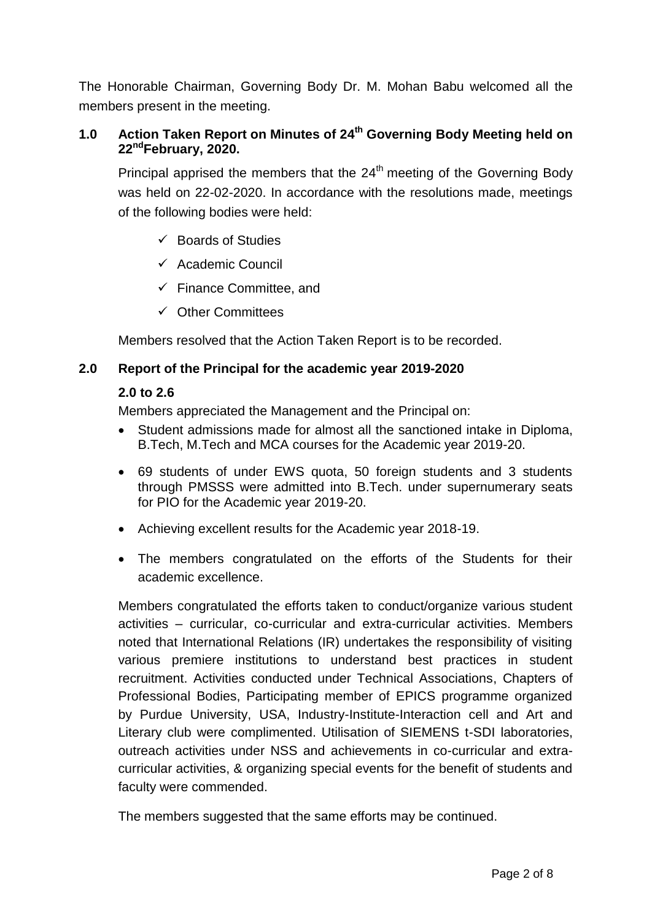The Honorable Chairman, Governing Body Dr. M. Mohan Babu welcomed all the members present in the meeting.

## **1.0 Action Taken Report on Minutes of 24 th Governing Body Meeting held on 22ndFebruary, 2020.**

Principal apprised the members that the  $24<sup>th</sup>$  meeting of the Governing Body was held on 22-02-2020. In accordance with the resolutions made, meetings of the following bodies were held:

- $\checkmark$  Boards of Studies
- $\checkmark$  Academic Council
- $\checkmark$  Finance Committee, and
- $\checkmark$  Other Committees

Members resolved that the Action Taken Report is to be recorded.

## **2.0 Report of the Principal for the academic year 2019-2020**

## **2.0 to 2.6**

Members appreciated the Management and the Principal on:

- Student admissions made for almost all the sanctioned intake in Diploma, B.Tech, M.Tech and MCA courses for the Academic year 2019-20.
- 69 students of under EWS quota, 50 foreign students and 3 students through PMSSS were admitted into B.Tech. under supernumerary seats for PIO for the Academic year 2019-20.
- Achieving excellent results for the Academic year 2018-19.
- The members congratulated on the efforts of the Students for their academic excellence.

Members congratulated the efforts taken to conduct/organize various student activities – curricular, co-curricular and extra-curricular activities. Members noted that International Relations (IR) undertakes the responsibility of visiting various premiere institutions to understand best practices in student recruitment. Activities conducted under Technical Associations, Chapters of Professional Bodies, Participating member of EPICS programme organized by Purdue University, USA, Industry-Institute-Interaction cell and Art and Literary club were complimented. Utilisation of SIEMENS t-SDI laboratories, outreach activities under NSS and achievements in co-curricular and extracurricular activities, & organizing special events for the benefit of students and faculty were commended.

The members suggested that the same efforts may be continued.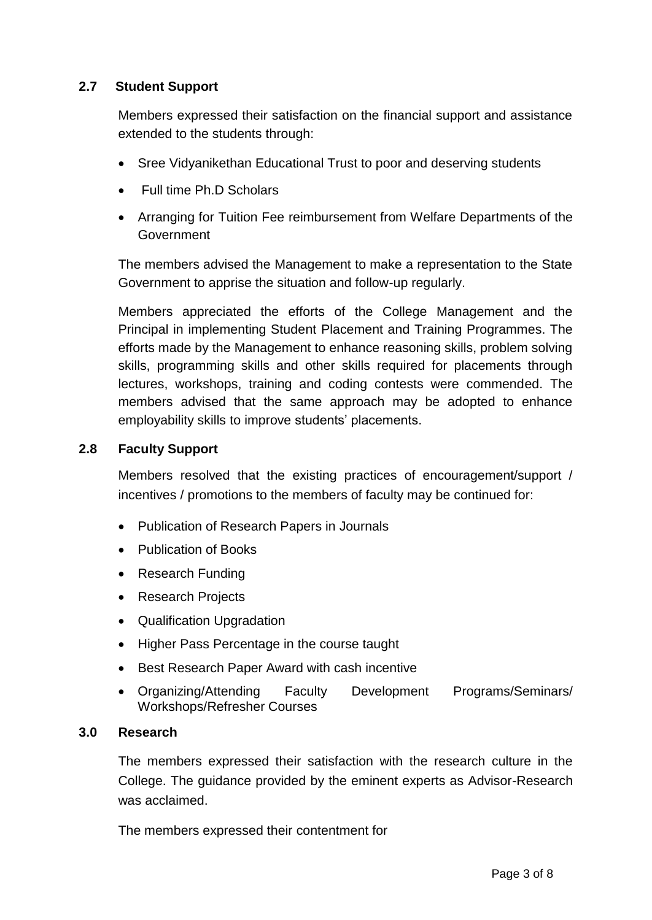## **2.7 Student Support**

Members expressed their satisfaction on the financial support and assistance extended to the students through:

- Sree Vidyanikethan Educational Trust to poor and deserving students
- Full time Ph.D Scholars
- Arranging for Tuition Fee reimbursement from Welfare Departments of the Government

The members advised the Management to make a representation to the State Government to apprise the situation and follow-up regularly.

Members appreciated the efforts of the College Management and the Principal in implementing Student Placement and Training Programmes. The efforts made by the Management to enhance reasoning skills, problem solving skills, programming skills and other skills required for placements through lectures, workshops, training and coding contests were commended. The members advised that the same approach may be adopted to enhance employability skills to improve students' placements.

#### **2.8 Faculty Support**

Members resolved that the existing practices of encouragement/support / incentives / promotions to the members of faculty may be continued for:

- Publication of Research Papers in Journals
- Publication of Books
- Research Funding
- Research Projects
- Qualification Upgradation
- Higher Pass Percentage in the course taught
- Best Research Paper Award with cash incentive
- Organizing/Attending Faculty Development Programs/Seminars/ Workshops/Refresher Courses

#### **3.0 Research**

The members expressed their satisfaction with the research culture in the College. The guidance provided by the eminent experts as Advisor-Research was acclaimed.

The members expressed their contentment for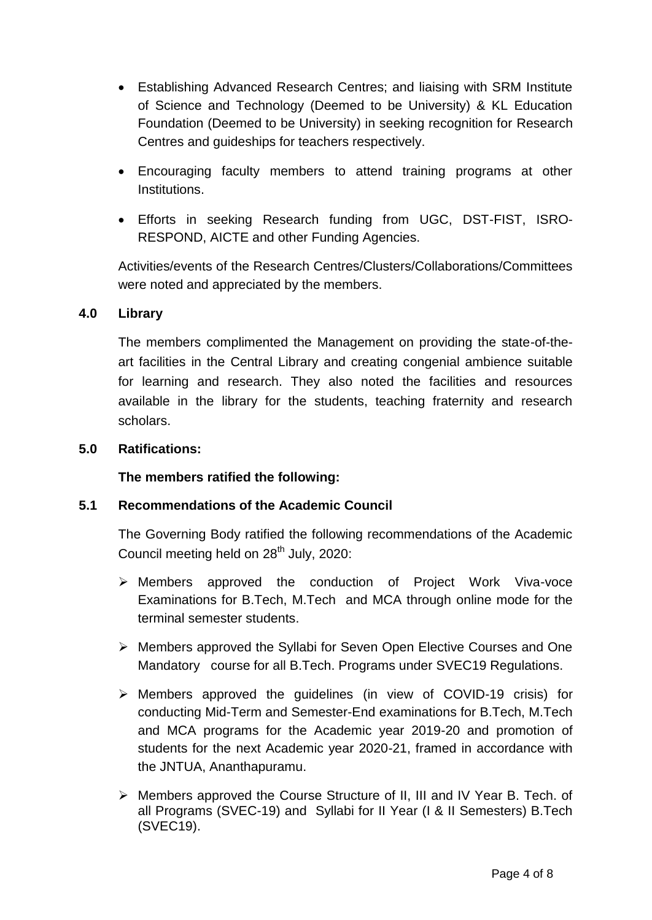- Establishing Advanced Research Centres; and liaising with SRM Institute of Science and Technology (Deemed to be University) & KL Education Foundation (Deemed to be University) in seeking recognition for Research Centres and guideships for teachers respectively.
- Encouraging faculty members to attend training programs at other Institutions.
- Efforts in seeking Research funding from UGC, DST-FIST, ISRO-RESPOND, AICTE and other Funding Agencies.

Activities/events of the Research Centres/Clusters/Collaborations/Committees were noted and appreciated by the members.

## **4.0 Library**

The members complimented the Management on providing the state-of-theart facilities in the Central Library and creating congenial ambience suitable for learning and research. They also noted the facilities and resources available in the library for the students, teaching fraternity and research scholars.

## **5.0 Ratifications:**

**The members ratified the following:**

## **5.1 Recommendations of the Academic Council**

The Governing Body ratified the following recommendations of the Academic Council meeting held on 28<sup>th</sup> July, 2020:

- Members approved the conduction of Project Work Viva-voce Examinations for B.Tech, M.Tech and MCA through online mode for the terminal semester students.
- Members approved the Syllabi for Seven Open Elective Courses and One Mandatory course for all B.Tech. Programs under SVEC19 Regulations.
- $\triangleright$  Members approved the quidelines (in view of COVID-19 crisis) for conducting Mid-Term and Semester-End examinations for B.Tech, M.Tech and MCA programs for the Academic year 2019-20 and promotion of students for the next Academic year 2020-21, framed in accordance with the JNTUA, Ananthapuramu.
- Members approved the Course Structure of II, III and IV Year B. Tech. of all Programs (SVEC-19) and Syllabi for II Year (I & II Semesters) B.Tech (SVEC19).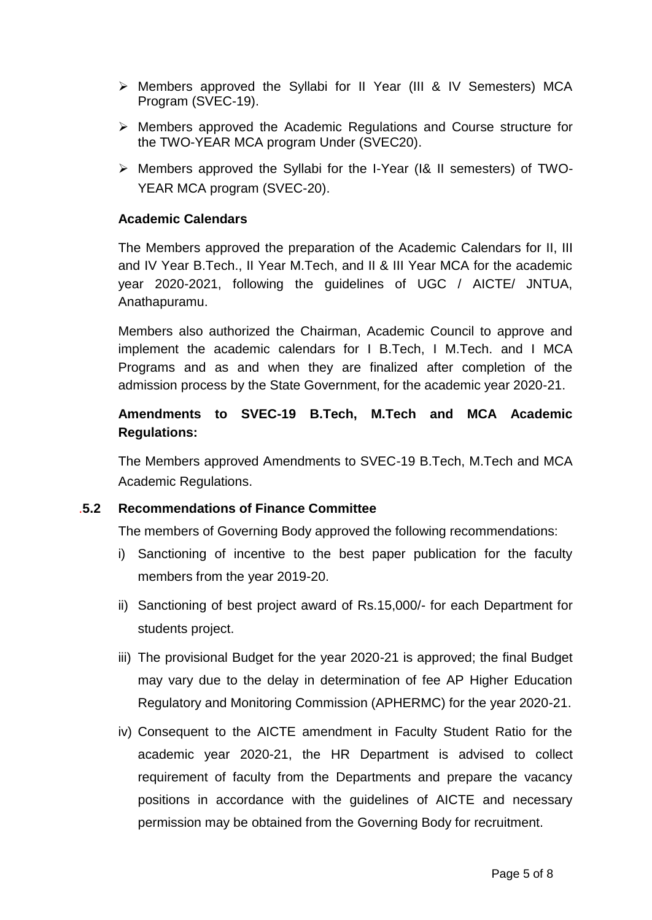- Members approved the Syllabi for II Year (III & IV Semesters) MCA Program (SVEC-19).
- Members approved the Academic Regulations and Course structure for the TWO-YEAR MCA program Under (SVEC20).
- Members approved the Syllabi for the I-Year (I& II semesters) of TWO-YEAR MCA program (SVEC-20).

#### **Academic Calendars**

The Members approved the preparation of the Academic Calendars for II, III and IV Year B.Tech., II Year M.Tech, and II & III Year MCA for the academic year 2020-2021, following the guidelines of UGC / AICTE/ JNTUA, Anathapuramu.

Members also authorized the Chairman, Academic Council to approve and implement the academic calendars for I B.Tech, I M.Tech. and I MCA Programs and as and when they are finalized after completion of the admission process by the State Government, for the academic year 2020-21.

## **Amendments to SVEC-19 B.Tech, M.Tech and MCA Academic Regulations:**

The Members approved Amendments to SVEC-19 B.Tech, M.Tech and MCA Academic Regulations.

## .**5.2 Recommendations of Finance Committee**

The members of Governing Body approved the following recommendations:

- i) Sanctioning of incentive to the best paper publication for the faculty members from the year 2019-20.
- ii) Sanctioning of best project award of Rs.15,000/- for each Department for students project.
- iii) The provisional Budget for the year 2020-21 is approved; the final Budget may vary due to the delay in determination of fee AP Higher Education Regulatory and Monitoring Commission (APHERMC) for the year 2020-21.
- iv) Consequent to the AICTE amendment in Faculty Student Ratio for the academic year 2020-21, the HR Department is advised to collect requirement of faculty from the Departments and prepare the vacancy positions in accordance with the guidelines of AICTE and necessary permission may be obtained from the Governing Body for recruitment.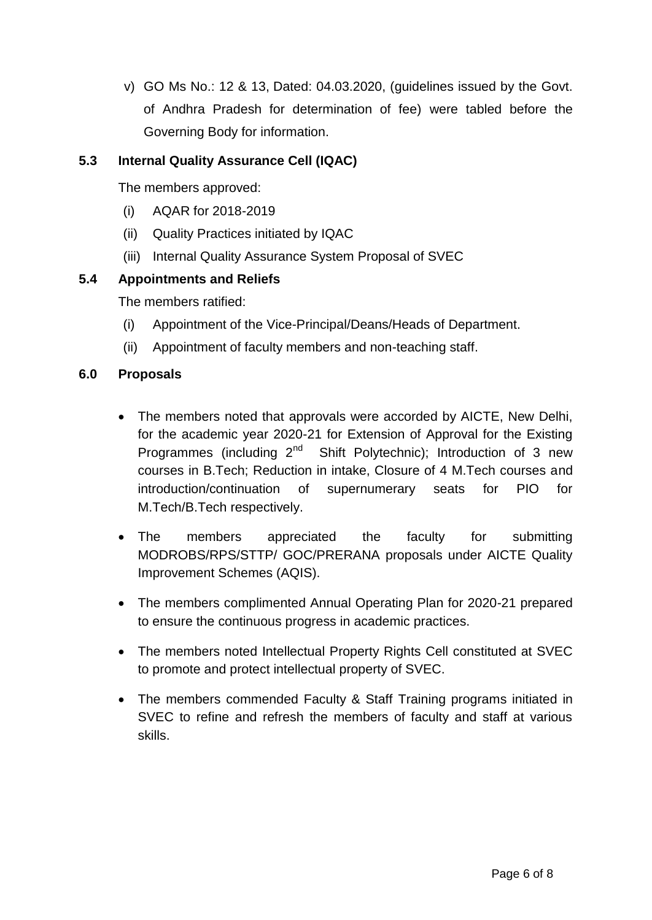v) GO Ms No.: 12 & 13, Dated: 04.03.2020, (guidelines issued by the Govt. of Andhra Pradesh for determination of fee) were tabled before the Governing Body for information.

## **5.3 Internal Quality Assurance Cell (IQAC)**

The members approved:

- (i) AQAR for 2018-2019
- (ii) Quality Practices initiated by IQAC
- (iii) Internal Quality Assurance System Proposal of SVEC

## **5.4 Appointments and Reliefs**

The members ratified:

- (i) Appointment of the Vice-Principal/Deans/Heads of Department.
- (ii) Appointment of faculty members and non-teaching staff.

#### **6.0 Proposals**

- The members noted that approvals were accorded by AICTE, New Delhi, for the academic year 2020-21 for Extension of Approval for the Existing Programmes (including  $2^{nd}$  Shift Polytechnic); Introduction of 3 new courses in B.Tech; Reduction in intake, Closure of 4 M.Tech courses and introduction/continuation of supernumerary seats for PIO for M.Tech/B.Tech respectively.
- The members appreciated the faculty for submitting MODROBS/RPS/STTP/ GOC/PRERANA proposals under AICTE Quality Improvement Schemes (AQIS).
- The members complimented Annual Operating Plan for 2020-21 prepared to ensure the continuous progress in academic practices.
- The members noted Intellectual Property Rights Cell constituted at SVEC to promote and protect intellectual property of SVEC.
- The members commended Faculty & Staff Training programs initiated in SVEC to refine and refresh the members of faculty and staff at various skills.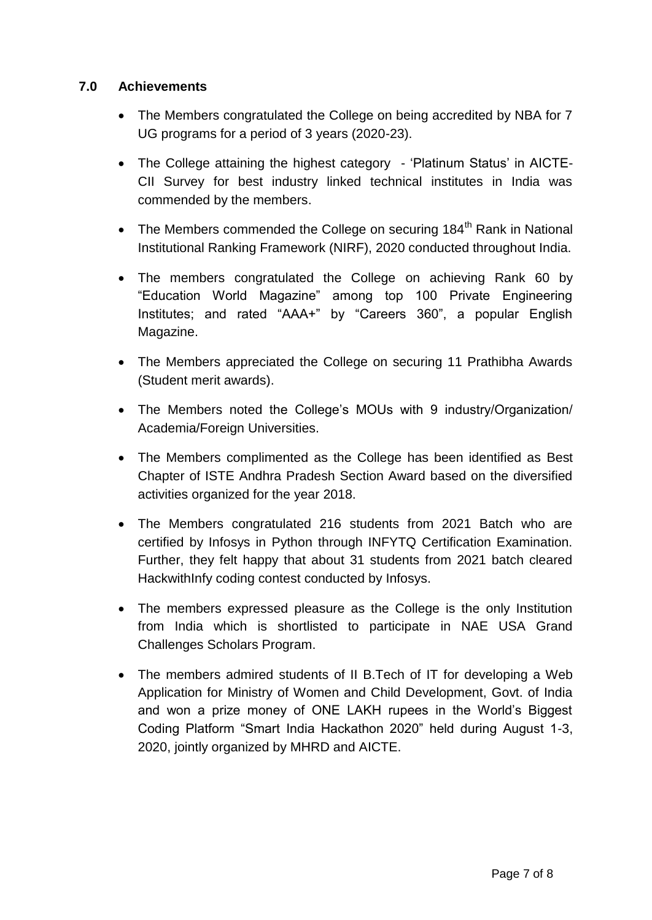## **7.0 Achievements**

- The Members congratulated the College on being accredited by NBA for 7 UG programs for a period of 3 years (2020-23).
- The College attaining the highest category 'Platinum Status' in AICTE-CII Survey for best industry linked technical institutes in India was commended by the members.
- The Members commended the College on securing  $184<sup>th</sup>$  Rank in National Institutional Ranking Framework (NIRF), 2020 conducted throughout India.
- The members congratulated the College on achieving Rank 60 by "Education World Magazine" among top 100 Private Engineering Institutes; and rated "AAA+" by "Careers 360", a popular English Magazine.
- The Members appreciated the College on securing 11 Prathibha Awards (Student merit awards).
- The Members noted the College's MOUs with 9 industry/Organization/ Academia/Foreign Universities.
- The Members complimented as the College has been identified as Best Chapter of ISTE Andhra Pradesh Section Award based on the diversified activities organized for the year 2018.
- The Members congratulated 216 students from 2021 Batch who are certified by Infosys in Python through INFYTQ Certification Examination. Further, they felt happy that about 31 students from 2021 batch cleared HackwithInfy coding contest conducted by Infosys.
- The members expressed pleasure as the College is the only Institution from India which is shortlisted to participate in NAE USA Grand Challenges Scholars Program.
- The members admired students of II B.Tech of IT for developing a Web Application for Ministry of Women and Child Development, Govt. of India and won a prize money of ONE LAKH rupees in the World"s Biggest Coding Platform "Smart India Hackathon 2020" held during August 1-3, 2020, jointly organized by MHRD and AICTE.